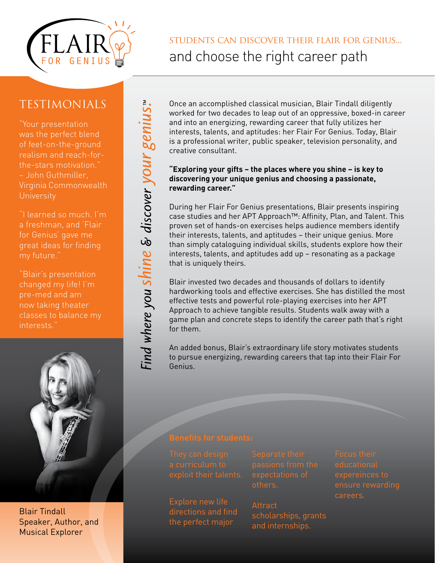

students can discover their flair for genius... and choose the right career path

## **TESTIMONIALS**

"Your presentation was the perfect blend of feet-on-the-ground realism and reach-forthe-stars motivation." – John Guthmiller, Virginia Commonwealth **University** 

"I learned so much. I'm a freshman, and 'Flair for Genius' gave me great ideas for finding my future."

"Blair's presentation changed my life! I'm pre-med and am now taking theater classes to balance my interests."



Blair Tindall Speaker, Author, and Musical Explorer

Once an accomplished classical musician, Blair Tindall diligently worked for two decades to leap out of an oppressive, boxed-in career and into an energizing, rewarding career that fully utilizes her interests, talents, and aptitudes: her Flair For Genius. Today, Blair is a professional writer, public speaker, television personality, and creative consultant.

#### **"Exploring your gifts – the places where you shine – is key to discovering your unique genius and choosing a passionate, rewarding career."**

During her Flair For Genius presentations, Blair presents inspiring case studies and her APT Approach™: Affinity, Plan, and Talent. This proven set of hands-on exercises helps audience members identify their interests, talents, and aptitudes – their unique genius. More than simply cataloguing individual skills, students explore how their interests, talents, and aptitudes add up – resonating as a package that is uniquely theirs.

Blair invested two decades and thousands of dollars to identify hardworking tools and effective exercises. She has distilled the most effective tests and powerful role-playing exercises into her APT Approach to achieve tangible results. Students walk away with a game plan and concrete steps to identify the career path that's right for them.

An added bonus, Blair's extraordinary life story motivates students to pursue energizing, rewarding careers that tap into their Flair For Genius.

directions and find the perfect major

**Attract** 

scholarships, grants and internships.

ensure rewarding

ind where you shine & discover your genius."